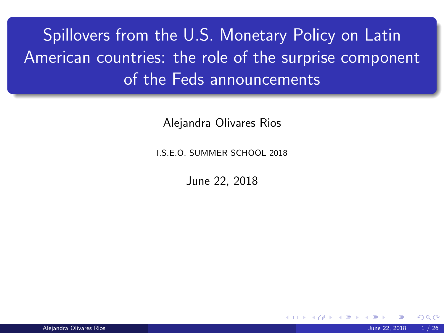# <span id="page-0-0"></span>Spillovers from the U.S. Monetary Policy on Latin American countries: the role of the surprise component of the Feds announcements

Alejandra Olivares Rios

I.S.E.O. SUMMER SCHOOL 2018

June 22, 2018

**K ロ ト K 何 ト K ヨ ト**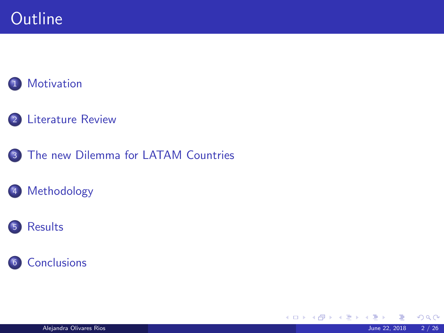## **Outline**

### [Motivation](#page-2-0)

- [Literature Review](#page-4-0)
- [The new Dilemma for LATAM Countries](#page-6-0)

### [Methodology](#page-8-0)

### [Results](#page-15-0)



メロトメ 伊 トメ ミトメ 毛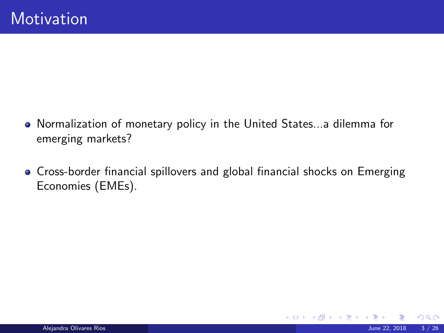- <span id="page-2-0"></span>Normalization of monetary policy in the United States...a dilemma for emerging markets?
- Cross-border financial spillovers and global financial shocks on Emerging Economies (EMEs).

 $\Omega$ 

メロトメ 御下 メミトメ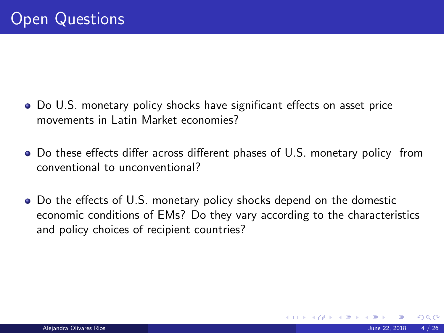- Do U.S. monetary policy shocks have significant effects on asset price movements in Latin Market economies?
- Do these effects differ across different phases of U.S. monetary policy from conventional to unconventional?
- Do the effects of U.S. monetary policy shocks depend on the domestic economic conditions of EMs? Do they vary according to the characteristics and policy choices of recipient countries?

メロメ メタメ メミメ メミ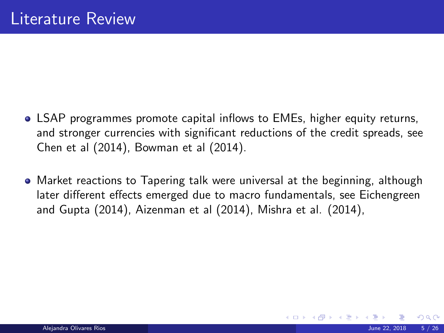- <span id="page-4-0"></span>LSAP programmes promote capital inflows to EMEs, higher equity returns, and stronger currencies with significant reductions of the credit spreads, see Chen et al (2014), Bowman et al (2014).
- Market reactions to Tapering talk were universal at the beginning, although later different effects emerged due to macro fundamentals, see Eichengreen and Gupta (2014), Aizenman et al (2014), Mishra et al. (2014),

メロト メ都 トメ ヨ トメ ヨト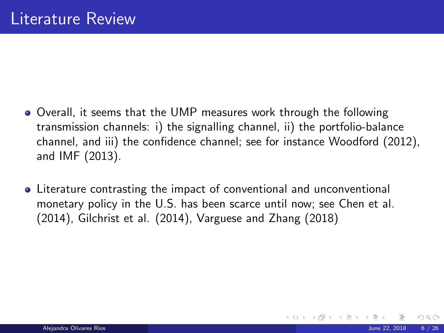- Overall, it seems that the UMP measures work through the following transmission channels: i) the signalling channel, ii) the portfolio-balance channel, and iii) the confidence channel; see for instance Woodford (2012), and IMF (2013).
- Literature contrasting the impact of conventional and unconventional monetary policy in the U.S. has been scarce until now; see Chen et al. (2014), Gilchrist et al. (2014), Varguese and Zhang (2018)

メロメ メタメ メミメ メミ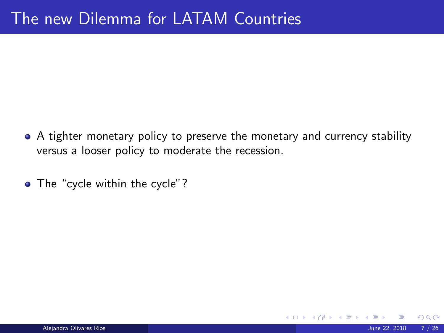- <span id="page-6-0"></span>• A tighter monetary policy to preserve the monetary and currency stability versus a looser policy to moderate the recession.
- The "cycle within the cycle"?

 $\Omega$ 

**K ロ ト K 何 ト K ヨ ト**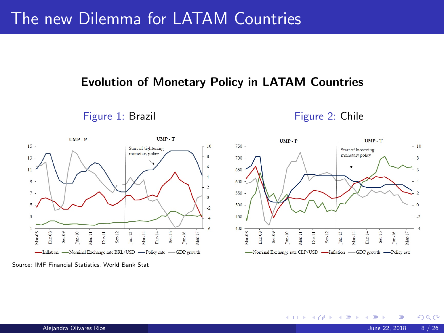## The new Dilemma for LATAM Countries

#### Evolution of Monetary Policy in LATAM Countries

Figure 1: Brazil **Figure 2: Chile** 

**K ロ ▶ | K 伺 ▶ | K ヨ ▶** 



Source: IMF Financial Statistics, World Bank Stat

 $\Omega$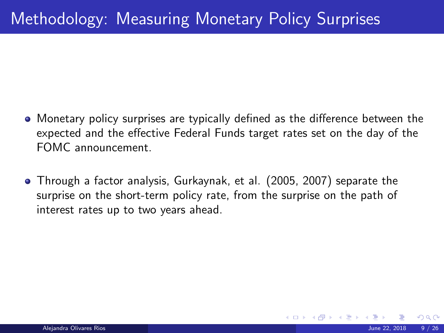- <span id="page-8-0"></span>Monetary policy surprises are typically defined as the difference between the expected and the effective Federal Funds target rates set on the day of the FOMC announcement.
- Through a factor analysis, Gurkaynak, et al. (2005, 2007) separate the surprise on the short-term policy rate, from the surprise on the path of interest rates up to two years ahead.

イロト イ押 トイヨ トイヨ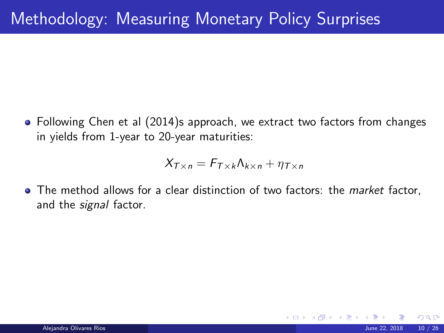Following Chen et al (2014)s approach, we extract two factors from changes in yields from 1-year to 20-year maturities:

$$
X_{T\times n} = F_{T\times k}\Lambda_{k\times n} + \eta_{T\times n}
$$

• The method allows for a clear distinction of two factors: the market factor, and the *signal* factor.

 $\Omega$ 

**K ロ ト K 何 ト K ヨ ト K**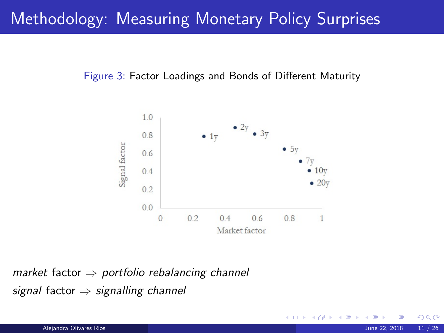## Methodology: Measuring Monetary Policy Surprises

#### Figure 3: Factor Loadings and Bonds of Different Maturity



market factor  $\Rightarrow$  portfolio rebalancing channel signal factor  $\Rightarrow$  signalling channel

 $\Omega$ 

**K ロ ▶ K 何 ▶ K 手**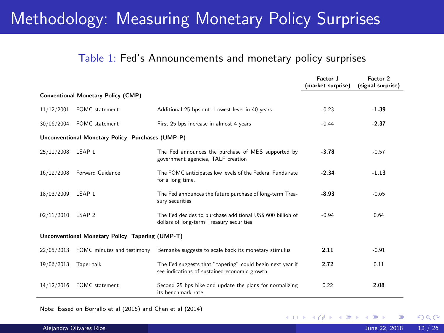### Methodology: Measuring Monetary Policy Surprises

#### Table 1: Fed's Announcements and monetary policy surprises

|            |                                                  |                                                                                                            | Factor 1<br>(market surprise) | Factor 2<br>(signal surprise) |
|------------|--------------------------------------------------|------------------------------------------------------------------------------------------------------------|-------------------------------|-------------------------------|
|            | <b>Conventional Monetary Policy (CMP)</b>        |                                                                                                            |                               |                               |
| 11/12/2001 | FOMC statement                                   | Additional 25 bps cut. Lowest level in 40 years.                                                           | $-0.23$                       | $-1.39$                       |
| 30/06/2004 | FOMC statement                                   | First 25 bps increase in almost 4 years                                                                    | $-0.44$                       | $-2.37$                       |
|            | Unconventional Monetary Policy Purchases (UMP-P) |                                                                                                            |                               |                               |
| 25/11/2008 | LSAP <sub>1</sub>                                | The Fed announces the purchase of MBS supported by<br>government agencies, TALF creation                   | $-3.78$                       | $-0.57$                       |
| 16/12/2008 | <b>Forward Guidance</b>                          | The FOMC anticipates low levels of the Federal Funds rate<br>for a long time.                              | $-2.34$                       | $-1.13$                       |
| 18/03/2009 | LSAP <sub>1</sub>                                | The Fed announces the future purchase of long-term Trea-<br>sury securities                                | $-8.93$                       | $-0.65$                       |
| 02/11/2010 | LSAP 2                                           | The Fed decides to purchase additional US\$ 600 billion of<br>dollars of long-term Treasury securities     | $-0.94$                       | 0.64                          |
|            | Unconventional Monetary Policy Tapering (UMP-T)  |                                                                                                            |                               |                               |
| 22/05/2013 | FOMC minutes and testimony                       | Bernanke suggests to scale back its monetary stimulus                                                      | 2.11                          | $-0.91$                       |
| 19/06/2013 | Taper talk                                       | The Fed suggests that "tapering" could begin next year if<br>see indications of sustained economic growth. | 2.72                          | 0.11                          |
| 14/12/2016 | <b>FOMC</b> statement                            | Second 25 bps hike and update the plans for normalizing<br>its benchmark rate.                             | 0.22                          | 2.08                          |

Note: Based on Borrallo et al (2016) and Chen et al (2014)

 $\Omega$ 

**K ロ ▶ | K 御 ▶ | K ヨ ▶ |**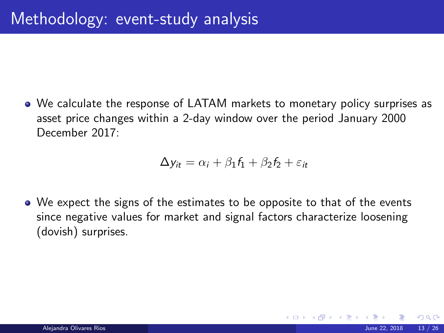We calculate the response of LATAM markets to monetary policy surprises as asset price changes within a 2-day window over the period January 2000 December 2017:

$$
\Delta y_{it} = \alpha_i + \beta_1 f_1 + \beta_2 f_2 + \varepsilon_{it}
$$

We expect the signs of the estimates to be opposite to that of the events since negative values for market and signal factors characterize loosening (dovish) surprises.

 $\Omega$ 

イロト イ押ト イヨト イ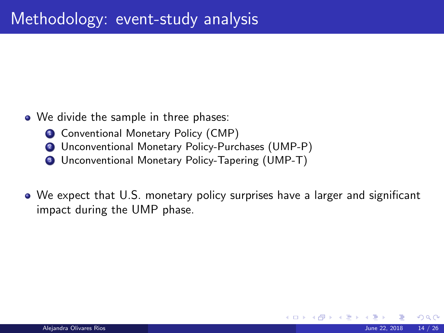- We divide the sample in three phases:
	- **1** Conventional Monetary Policy (CMP)
	- <sup>2</sup> Unconventional Monetary Policy-Purchases (UMP-P)
	- <sup>3</sup> Unconventional Monetary Policy-Tapering (UMP-T)
- We expect that U.S. monetary policy surprises have a larger and significant impact during the UMP phase.

 $\Omega$ 

メロメ メタメ メミメ メミ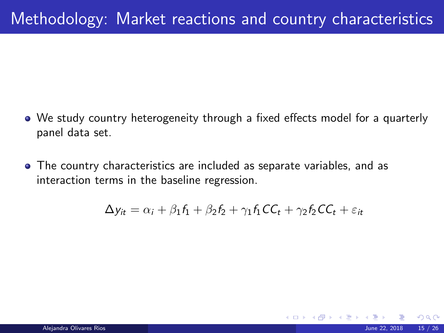- <span id="page-14-0"></span>We study country heterogeneity through a fixed effects model for a quarterly panel data set.
- The country characteristics are included as separate variables, and as interaction terms in the baseline regression.

$$
\Delta y_{it} = \alpha_i + \beta_1 f_1 + \beta_2 f_2 + \gamma_1 f_1 CC_t + \gamma_2 f_2 CC_t + \varepsilon_{it}
$$

 $\Omega$ 

**K ロ ト K 何 ト K ヨ ト**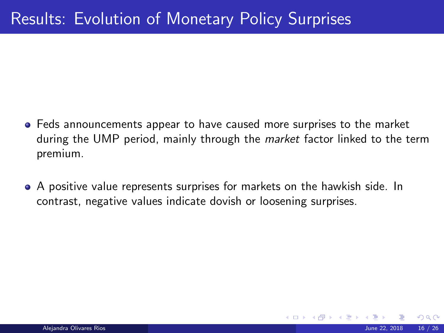- <span id="page-15-0"></span>Feds announcements appear to have caused more surprises to the market during the UMP period, mainly through the *market* factor linked to the term premium.
- A positive value represents surprises for markets on the hawkish side. In contrast, negative values indicate dovish or loosening surprises.

 $\left\{ \begin{array}{ccc} 1 & 0 & 0 \\ 0 & 1 & 0 \end{array} \right\}$  ,  $\left\{ \begin{array}{ccc} 0 & 0 & 0 \\ 0 & 0 & 0 \end{array} \right\}$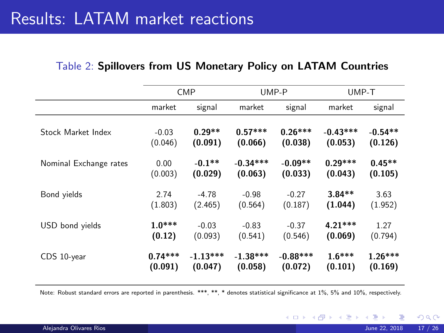| Table 2: Spillovers from US Monetary Policy on LATAM Countries |  |  |  |  |  |  |
|----------------------------------------------------------------|--|--|--|--|--|--|
|----------------------------------------------------------------|--|--|--|--|--|--|

|                        |           | <b>CMP</b> | UMP-P      |            | UMP-T      |           |
|------------------------|-----------|------------|------------|------------|------------|-----------|
|                        | market    | signal     | market     | signal     | market     | signal    |
| Stock Market Index     | $-0.03$   | $0.29**$   | $0.57***$  | $0.26***$  | $-0.43***$ | $-0.54**$ |
|                        | (0.046)   | (0.091)    | (0.066)    | (0.038)    | (0.053)    | (0.126)   |
| Nominal Exchange rates | 0.00      | $-0.1**$   | $-0.34***$ | $-0.09**$  | $0.29***$  | $0.45**$  |
|                        | (0.003)   | (0.029)    | (0.063)    | (0.033)    | (0.043)    | (0.105)   |
| Bond yields            | 2.74      | $-4.78$    | $-0.98$    | $-0.27$    | $3.84**$   | 3.63      |
|                        | (1.803)   | (2.465)    | (0.564)    | (0.187)    | (1.044)    | (1.952)   |
| USD bond yields        | $1.0***$  | $-0.03$    | $-0.83$    | $-0.37$    | $4.21***$  | 1.27      |
|                        | (0.12)    | (0.093)    | (0.541)    | (0.546)    | (0.069)    | (0.794)   |
| CDS 10-year            | $0.74***$ | $-1.13***$ | $-1.38***$ | $-0.88***$ | $1.6***$   | $1.26***$ |
|                        | (0.091)   | (0.047)    | (0.058)    | (0.072)    | (0.101)    | (0.169)   |

Note: Robust standard errors are reported in parenthesis. \*\*\*, \*\*, \* denotes statistical significance at 1%, 5% and 10%, respectively.

 $299$ 

メロトメ 伊 トメ 君 トメ 君 ト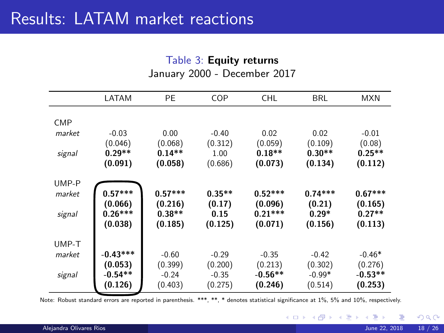#### Table 3: Equity returns January 2000 - December 2017

|            | LATAM                           | PE                             | COP                       | <b>CHL</b>                      | BRL                          | <b>MXN</b>                     |
|------------|---------------------------------|--------------------------------|---------------------------|---------------------------------|------------------------------|--------------------------------|
| <b>CMP</b> |                                 |                                |                           |                                 |                              |                                |
| market     | $-0.03$<br>(0.046)              | 0.00<br>(0.068)                | $-0.40$<br>(0.312)        | 0.02<br>(0.059)                 | 0.02<br>(0.109)              | $-0.01$<br>(0.08)              |
| signal     | $0.29**$<br>(0.091)             | $0.14**$<br>(0.058)            | 1.00<br>(0.686)           | $0.18**$<br>(0.073)             | $0.30**$<br>(0.134)          | $0.25**$<br>(0.112)            |
| UMP-P      |                                 |                                |                           |                                 |                              |                                |
| market     | $0.57***$                       | $0.57***$                      | $0.35**$                  | $0.52***$                       | $0.74***$                    | $0.67***$                      |
| signal     | (0.066)<br>$0.26***$<br>(0.038) | (0.216)<br>$0.38**$<br>(0.185) | (0.17)<br>0.15<br>(0.125) | (0.096)<br>$0.21***$<br>(0.071) | (0.21)<br>$0.29*$<br>(0.156) | (0.165)<br>$0.27**$<br>(0.113) |
| UMP-T      |                                 |                                |                           |                                 |                              |                                |
| market     | $-0.43***$                      | $-0.60$                        | $-0.29$                   | $-0.35$                         | $-0.42$                      | $-0.46*$                       |
|            | (0.053)                         | (0.399)                        | (0.200)                   | (0.213)                         | (0.302)                      | (0.276)                        |
| signal     | $-0.54**$                       | $-0.24$                        | $-0.35$                   | $-0.56**$                       | $-0.99*$                     | $-0.53**$                      |
|            | (0.126)                         | (0.403)                        | (0.275)                   | (0.246)                         | (0.514)                      | (0.253)                        |

Note: Robust standard errors are reported in parenthesis. \*\*\*, \*\*, \* denotes statistical significance at 1%, 5% and 10%, respectively.

 $298$ 

メロト メタト メミト メミ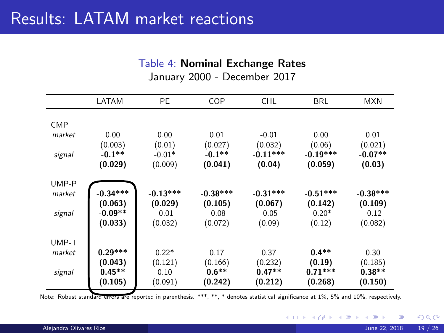#### Table 4: Nominal Exchange Rates

|            | LATAM                           | PE                            | COP                           | <b>CHL</b>                     | <b>BRL</b>                     | <b>MXN</b>                     |
|------------|---------------------------------|-------------------------------|-------------------------------|--------------------------------|--------------------------------|--------------------------------|
| <b>CMP</b> |                                 |                               |                               |                                |                                |                                |
| market     | 0.00<br>(0.003)                 | 0.00<br>(0.01)                | 0.01<br>(0.027)               | $-0.01$<br>(0.032)             | 0.00<br>(0.06)                 | 0.01<br>(0.021)                |
| signal     | $-0.1**$<br>(0.029)             | $-0.01*$<br>(0.009)           | $-0.1**$<br>(0.041)           | $-0.11***$<br>(0.04)           | $-0.19***$<br>(0.059)          | $-0.07**$<br>(0.03)            |
| UMP-P      |                                 |                               |                               |                                |                                |                                |
| market     | $-0.34***$                      | $-0.13***$                    | $-0.38***$                    | $-0.31***$                     | $-0.51***$                     | $-0.38***$                     |
| signal     | (0.063)<br>$-0.09**$<br>(0.033) | (0.029)<br>$-0.01$<br>(0.032) | (0.105)<br>$-0.08$<br>(0.072) | (0.067)<br>$-0.05$<br>(0.09)   | (0.142)<br>$-0.20*$<br>(0.12)  | (0.109)<br>$-0.12$<br>(0.082)  |
| UMP-T      |                                 |                               |                               |                                |                                |                                |
| market     | $0.29***$                       | $0.22*$                       | 0.17                          | 0.37                           | $0.4**$                        | 0.30                           |
| signal     | (0.043)<br>$0.45**$<br>(0.105)  | (0.121)<br>0.10<br>(0.091)    | (0.166)<br>$0.6**$<br>(0.242) | (0.232)<br>$0.47**$<br>(0.212) | (0.19)<br>$0.71***$<br>(0.268) | (0.185)<br>$0.38**$<br>(0.150) |

January 2000 - December 2017

Note: Robust standard errors are reported in parenthesis. \*\*\*, \*\*, \* denotes statistical significance at 1%, 5% and 10%, respectively.

۰

 $\Omega$ 

**K ロ ト K 倒 ト K 差 ト K**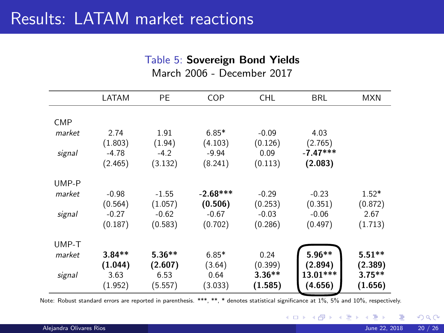#### Table 5: Sovereign Bond Yields

March 2006 - December 2017

|            | LATAM    | PE.      | COP        | <b>CHL</b> | BRL        | <b>MXN</b> |
|------------|----------|----------|------------|------------|------------|------------|
|            |          |          |            |            |            |            |
| <b>CMP</b> |          |          |            |            |            |            |
| market     | 2.74     | 1.91     | $6.85*$    | $-0.09$    | 4.03       |            |
|            | (1.803)  | (1.94)   | (4.103)    | (0.126)    | (2.765)    |            |
| signal     | $-4.78$  | $-4.2$   | $-9.94$    | 0.09       | $-7.47***$ |            |
|            | (2.465)  | (3.132)  | (8.241)    | (0.113)    | (2.083)    |            |
| UMP-P      |          |          |            |            |            |            |
| market     | $-0.98$  | $-1.55$  | $-2.68***$ | $-0.29$    | $-0.23$    | $1.52*$    |
|            | (0.564)  | (1.057)  | (0.506)    | (0.253)    | (0.351)    | (0.872)    |
| signal     | $-0.27$  | $-0.62$  | $-0.67$    | $-0.03$    | $-0.06$    | 2.67       |
|            | (0.187)  | (0.583)  | (0.702)    | (0.286)    | (0.497)    | (1.713)    |
| UMP-T      |          |          |            |            |            |            |
| market     | $3.84**$ | $5.36**$ | $6.85*$    | 0.24       | $5.96**$   | $5.51**$   |
|            | (1.044)  | (2.607)  | (3.64)     | (0.399)    | (2.894)    | (2.389)    |
| signal     | 3.63     | 6.53     | 0.64       | $3.36**$   | $13.01***$ | $3.75***$  |
|            | (1.952)  | (5.557)  | (3.033)    | (1.585)    | (4.656)    | (1.656)    |

Note: Robust standard errors are reported in parenthesis. \*\*\*, \*\*, \* denotes statistical significance at 1%, 5% and 10%, respectively.

 $QQ$ 

**K ロ ト K 御 ト K 君 ト K 君**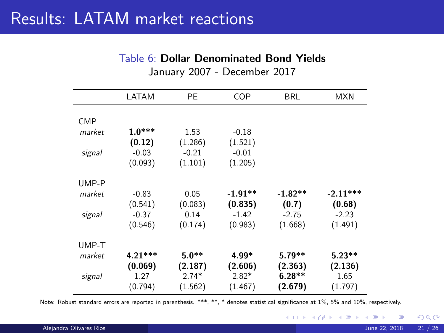#### Table 6: Dollar Denominated Bond Yields

|        | LATAM     | РE      | COP       | BRL       | <b>MXN</b> |
|--------|-----------|---------|-----------|-----------|------------|
|        |           |         |           |           |            |
| CMP    |           |         |           |           |            |
| market | $1.0***$  | 1.53    | $-0.18$   |           |            |
|        | (0.12)    | (1.286) | (1.521)   |           |            |
| signal | $-0.03$   | $-0.21$ | $-0.01$   |           |            |
|        | (0.093)   | (1.101) | (1.205)   |           |            |
| UMP-P  |           |         |           |           |            |
| market | $-0.83$   | 0.05    | $-1.91**$ | $-1.82**$ | $-2.11***$ |
|        | (0.541)   | (0.083) | (0.835)   | (0.7)     | (0.68)     |
| signal | $-0.37$   | 0.14    | $-1.42$   | $-2.75$   | $-2.23$    |
|        | (0.546)   | (0.174) | (0.983)   | (1.668)   | (1.491)    |
| UMP-T  |           |         |           |           |            |
| market | $4.21***$ | $5.0**$ | 4.99*     | $5.79**$  | $5.23**$   |
|        | (0.069)   | (2.187) | (2.606)   | (2.363)   | (2.136)    |
| signal | 1.27      | $2.74*$ | $2.82*$   | $6.28**$  | 1.65       |
|        | (0.794)   | (1.562) | (1.467)   | (2.679)   | (1.797)    |

January 2007 - December 2017

Note: Robust standard errors are reported in parenthesis. \*\*\*, \*\*, \* denotes statistical significance at 1%, 5% and 10%, respectively.

÷.

 $299$ 

**K ロ ト K 御 ト K 君 ト K 君**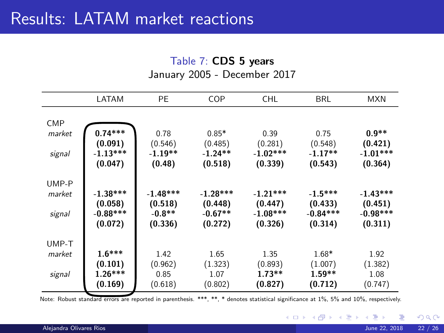#### Table 7: CDS 5 years

January 2005 - December 2017

|                                | LATAM                                          | PE                                           | COP                                           | <b>CHL</b>                                     | <b>BRL</b>                                    | <b>MXN</b>                                     |
|--------------------------------|------------------------------------------------|----------------------------------------------|-----------------------------------------------|------------------------------------------------|-----------------------------------------------|------------------------------------------------|
| <b>CMP</b><br>market<br>signal | $0.74***$<br>(0.091)<br>$-1.13***$<br>(0.047)  | 0.78<br>(0.546)<br>$-1.19**$<br>(0.48)       | $0.85*$<br>(0.485)<br>$-1.24**$<br>(0.518)    | 0.39<br>(0.281)<br>$-1.02***$<br>(0.339)       | 0.75<br>(0.548)<br>$-1.17**$<br>(0.543)       | $0.9**$<br>(0.421)<br>$-1.01***$<br>(0.364)    |
| UMP-P<br>market<br>signal      | $-1.38***$<br>(0.058)<br>$-0.88***$<br>(0.072) | $-1.48***$<br>(0.518)<br>$-0.8**$<br>(0.336) | $-1.28***$<br>(0.448)<br>$-0.67**$<br>(0.272) | $-1.21***$<br>(0.447)<br>$-1.08***$<br>(0.326) | $-1.5***$<br>(0.433)<br>$-0.84***$<br>(0.314) | $-1.43***$<br>(0.451)<br>$-0.98***$<br>(0.311) |
| UMP-T<br>market<br>signal      | $1.6***$<br>(0.101)<br>$1.26***$<br>(0.169)    | 1.42<br>(0.962)<br>0.85<br>(0.618)           | 1.65<br>(1.323)<br>1.07<br>(0.802)            | 1.35<br>(0.893)<br>$1.73**$<br>(0.827)         | $1.68*$<br>(1.007)<br>$1.59**$<br>(0.712)     | 1.92<br>(1.382)<br>1.08<br>(0.747)             |

Note: Robust standard errors are reported in parenthesis. \*\*\*, \*\*, \* denotes statistical significance at 1%, 5% and 10%, respectively.

 $299$ 

メロト メタト メミト メミ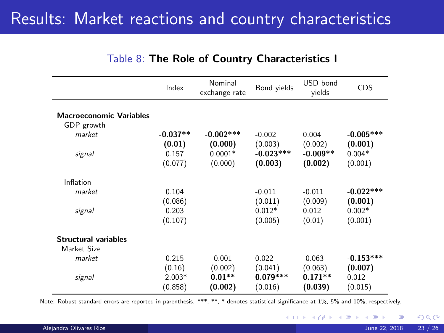### Results: Market reactions and country characteristics

|                                | Index      | Nominal<br>exchange rate | Bond yields | USD bond<br>vields | CDS         |
|--------------------------------|------------|--------------------------|-------------|--------------------|-------------|
|                                |            |                          |             |                    |             |
| <b>Macroeconomic Variables</b> |            |                          |             |                    |             |
| GDP growth                     |            |                          |             |                    |             |
| market                         | $-0.037**$ | $-0.002$ ***             | $-0.002$    | 0.004              | $-0.005***$ |
|                                | (0.01)     | (0.000)                  | (0.003)     | (0.002)            | (0.001)     |
| signal                         | 0.157      | $0.0001*$                | $-0.023***$ | $-0.009**$         | $0.004*$    |
|                                | (0.077)    | (0.000)                  | (0.003)     | (0.002)            | (0.001)     |
| Inflation                      |            |                          |             |                    |             |
| market                         | 0.104      |                          | $-0.011$    | $-0.011$           | $-0.022***$ |
|                                | (0.086)    |                          | (0.011)     | (0.009)            | (0.001)     |
| signal                         | 0.203      |                          | $0.012*$    | 0.012              | $0.002*$    |
|                                | (0.107)    |                          | (0.005)     | (0.01)             | (0.001)     |
| <b>Structural variables</b>    |            |                          |             |                    |             |
| Market Size                    |            |                          |             |                    |             |
| market                         | 0.215      | 0.001                    | 0.022       | $-0.063$           | $-0.153***$ |
|                                | (0.16)     | (0.002)                  | (0.041)     | (0.063)            | (0.007)     |
| signal                         | $-2.003*$  | $0.01**$                 | $0.079***$  | $0.171**$          | 0.012       |
|                                | (0.858)    | (0.002)                  | (0.016)     | (0.039)            | (0.015)     |
|                                |            |                          |             |                    |             |

#### Table 8: The Role of Country Characteristics I

Note: Robust standard errors are reported in parenthesis. \*\*\*, \*\*, \* denotes statistical significance at 1%, 5% and 10%, respectively.

 $\Omega$ 

**K ロ ト K 倒 ト K 差 ト K**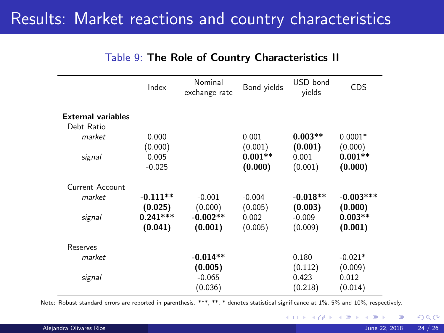### <span id="page-23-0"></span>Results: Market reactions and country characteristics

|                                         | Index                            | Nominal<br>exchange rate         | Bond yields                 | USD bond<br>vields             | <b>CDS</b>                      |
|-----------------------------------------|----------------------------------|----------------------------------|-----------------------------|--------------------------------|---------------------------------|
| <b>External variables</b><br>Debt Ratio |                                  |                                  |                             |                                |                                 |
| market                                  | 0.000<br>(0.000)                 |                                  | 0.001<br>(0.001)            | $0.003**$<br>(0.001)           | $0.0001*$<br>(0.000)            |
| signal                                  | 0.005<br>$-0.025$                |                                  | $0.001**$<br>(0.000)        | 0.001<br>(0.001)               | $0.001**$<br>(0.000)            |
| Current Account                         |                                  |                                  |                             |                                |                                 |
| market                                  | $-0.111**$                       | $-0.001$                         | $-0.004$                    | $-0.018**$                     | $-0.003***$                     |
| signal                                  | (0.025)<br>$0.241***$<br>(0.041) | (0.000)<br>$-0.002**$<br>(0.001) | (0.005)<br>0.002<br>(0.005) | (0.003)<br>$-0.009$<br>(0.009) | (0.000)<br>$0.003**$<br>(0.001) |
| Reserves                                |                                  |                                  |                             |                                |                                 |
| market                                  |                                  | $-0.014**$                       |                             | 0.180                          | $-0.021*$                       |
| signal                                  |                                  | (0.005)<br>$-0.065$<br>(0.036)   |                             | (0.112)<br>0.423<br>(0.218)    | (0.009)<br>0.012<br>(0.014)     |

#### Table 9: The Role of Country Characteristics II

Note: Robust standard errors are reported in parenthesis. \*\*\*, \*\*, \* denotes statistical significance at 1%, 5% and 10%, respectively.

 $\Omega$ 

**K ロ ト K 倒 ト K 差 ト K**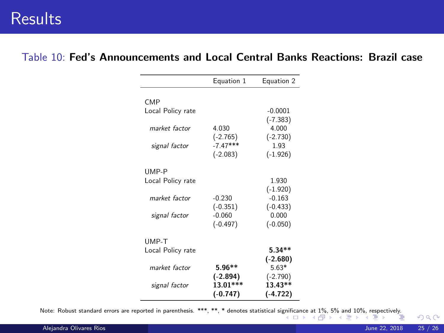### <span id="page-24-0"></span>**Results**

#### Table 10: Fed's Announcements and Local Central Banks Reactions: Brazil case

|                   | Equation 1 | Equation 2 |
|-------------------|------------|------------|
| CM <sub>P</sub>   |            |            |
| Local Policy rate |            | $-0.0001$  |
|                   |            | $(-7.383)$ |
| market factor     | 4.030      | 4.000      |
|                   | $(-2.765)$ | $(-2.730)$ |
| signal factor     | $-7.47***$ | 1.93       |
|                   | $(-2.083)$ | $(-1.926)$ |
| UMP-P             |            |            |
| Local Policy rate |            | 1.930      |
|                   |            | $(-1.920)$ |
| market factor     | $-0.230$   | $-0.163$   |
|                   | $(-0.351)$ | $(-0.433)$ |
| signal factor     | $-0.060$   | 0.000      |
|                   | $(-0.497)$ | $(-0.050)$ |
| UMP-T             |            |            |
| Local Policy rate |            | $5.34**$   |
|                   |            | $(-2.680)$ |
| market factor     | $5.96**$   | $5.63*$    |
|                   | $(-2.894)$ | $(-2.790)$ |
| signal factor     | 13.01***   | 13.43**    |
|                   | $(-0.747)$ | $(-4.722)$ |

Note: Robust standard errors are reported in parenthesis. \*\*\*, \*\* denotes statistical si[gnifi](#page-23-0)ca[nce](#page-25-0) [at](#page-23-0) [1%,](#page-24-0) [5](#page-25-0)[%](#page-14-0) [an](#page-15-0)[d 1](#page-24-0)[0](#page-25-0)[%,](#page-14-0) [res](#page-15-0)[pe](#page-24-0)[ct](#page-25-0)[ively.](#page-0-0)<br>- < E > < E > + + E + + E + + E + + E + + E + + E + + E + + E + + E + + E + + E + + E + +

 $\Omega$